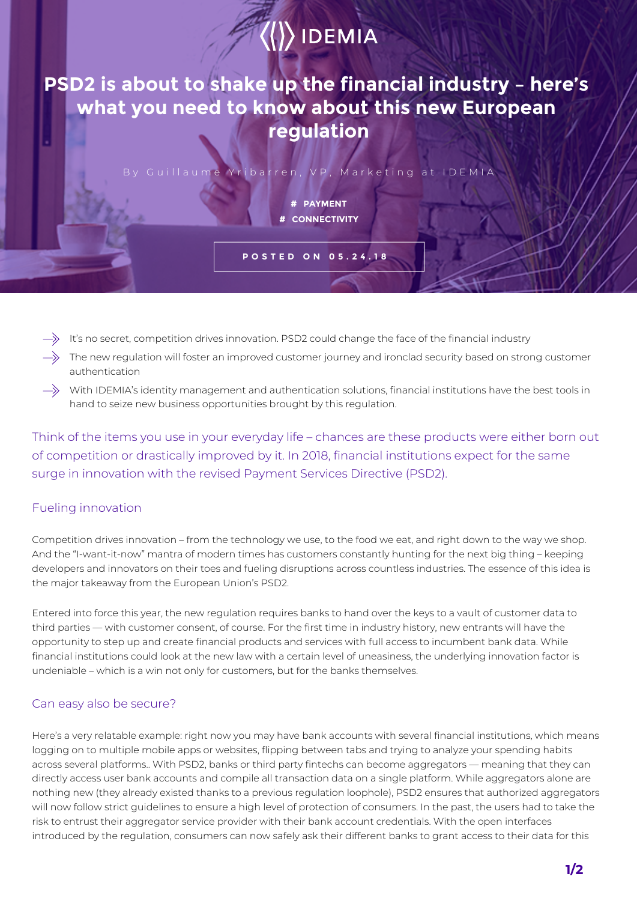## $\langle\langle\rangle\rangle$  IDEMIA

**PSD2 is about to shake up the financial industry – here's what you need to know about this new European regulation**

By Guillaume Yribarren, VP, Marketing at IDEMIA

**# PAYMENT # CONNECTIVITY**

**POSTED ON 05.24.18**

- It's no secret, competition drives innovation. PSD2 could change the face of the financial industry
- The new regulation will foster an improved customer journey and ironclad security based on strong customer authentication
- $\to$  With IDEMIA's identity management and authentication solutions, financial institutions have the best tools in hand to seize new business opportunities brought by this regulation.

Think of the items you use in your everyday life – chances are these products were either born out of competition or drastically improved by it. In 2018, financial institutions expect for the same surge in innovation with the revised Payment Services Directive (PSD2).

## Fueling innovation

Competition drives innovation – from the technology we use, to the food we eat, and right down to the way we shop. And the "I-want-it-now" mantra of modern times has customers constantly hunting for the next big thing – keeping developers and innovators on their toes and fueling disruptions across countless industries. The essence of this idea is the major takeaway from the European Union's PSD2.

Entered into force this year, the new regulation requires banks to hand over the keys to a vault of customer data to third parties — with customer consent, of course. For the first time in industry history, new entrants will have the opportunity to step up and create financial products and services with full access to incumbent bank data. While financial institutions could look at the new law with a certain level of uneasiness, the underlying innovation factor is undeniable – which is a win not only for customers, but for the banks themselves.

## Can easy also be secure?

Here's a very relatable example: right now you may have bank accounts with several financial institutions, which means logging on to multiple mobile apps or websites, flipping between tabs and trying to analyze your spending habits across several platforms.. With PSD2, banks or third party fintechs can become aggregators — meaning that they can directly access user bank accounts and compile all transaction data on a single platform. While aggregators alone are nothing new (they already existed thanks to a previous regulation loophole), PSD2 ensures that authorized aggregators will now follow strict guidelines to ensure a high level of protection of consumers. In the past, the users had to take the risk to entrust their aggregator service provider with their bank account credentials. With the open interfaces introduced by the regulation, consumers can now safely ask their different banks to grant access to their data for this